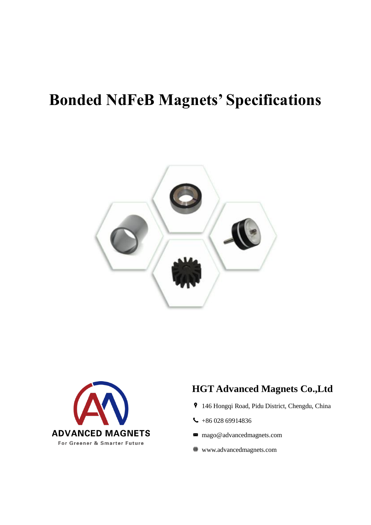## **Bonded NdFeB Magnets' Specifications**





## **HGT Advanced Magnets Co.,Ltd**

- 146 Hongqi Road, Pidu District, Chengdu, China
- $-18602869914836$
- mago@advancedmagnets.com  $\bowtie$
- www.advancedmagnets.com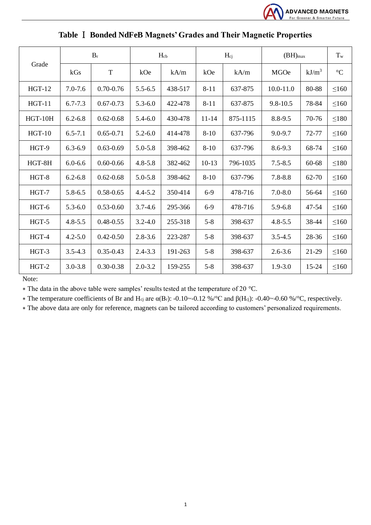

| Grade     | $B_r$       |               | $H_{cb}$    |         | $H_{cj}$  |          | $(BH)_{max}$  |          | $T_{\rm w}$          |
|-----------|-------------|---------------|-------------|---------|-----------|----------|---------------|----------|----------------------|
|           | kGs         | $\mathbf T$   | kOe         | kA/m    | kOe       | kA/m     | <b>MGOe</b>   | $kJ/m^3$ | $^{\circ}\mathrm{C}$ |
| $HGT-12$  | $7.0 - 7.6$ | $0.70 - 0.76$ | $5.5 - 6.5$ | 438-517 | $8 - 11$  | 637-875  | $10.0 - 11.0$ | 80-88    | $\leq 160$           |
| $HGT-11$  | $6.7 - 7.3$ | $0.67 - 0.73$ | $5.3 - 6.0$ | 422-478 | $8 - 11$  | 637-875  | $9.8 - 10.5$  | 78-84    | $\leq160$            |
| $HGT-10H$ | $6.2 - 6.8$ | $0.62 - 0.68$ | $5.4 - 6.0$ | 430-478 | $11 - 14$ | 875-1115 | 8.8-9.5       | 70-76    | $\leq180$            |
| $HGT-10$  | $6.5 - 7.1$ | $0.65 - 0.71$ | $5.2 - 6.0$ | 414-478 | $8-10$    | 637-796  | $9.0 - 9.7$   | 72-77    | $\leq160$            |
| HGT-9     | $6.3 - 6.9$ | $0.63 - 0.69$ | $5.0 - 5.8$ | 398-462 | $8 - 10$  | 637-796  | 8.6-9.3       | 68-74    | $\leq160$            |
| HGT-8H    | $6.0 - 6.6$ | $0.60 - 0.66$ | $4.8 - 5.8$ | 382-462 | $10-13$   | 796-1035 | $7.5 - 8.5$   | 60-68    | $\leq180$            |
| HGT-8     | $6.2 - 6.8$ | $0.62 - 0.68$ | $5.0 - 5.8$ | 398-462 | $8-10$    | 637-796  | $7.8 - 8.8$   | 62-70    | $\leq160$            |
| $HGT-7$   | 5.8-6.5     | $0.58 - 0.65$ | $4.4 - 5.2$ | 350-414 | $6 - 9$   | 478-716  | $7.0 - 8.0$   | 56-64    | $\leq160$            |
| HGT-6     | $5.3 - 6.0$ | $0.53 - 0.60$ | $3.7 - 4.6$ | 295-366 | $6-9$     | 478-716  | 5.9-6.8       | 47-54    | $\leq160$            |
| $HGT-5$   | $4.8 - 5.5$ | $0.48 - 0.55$ | $3.2 - 4.0$ | 255-318 | $5 - 8$   | 398-637  | $4.8 - 5.5$   | 38-44    | $\leq 160$           |
| HGT-4     | $4.2 - 5.0$ | $0.42 - 0.50$ | $2.8 - 3.6$ | 223-287 | $5 - 8$   | 398-637  | $3.5 - 4.5$   | 28-36    | $\leq 160$           |
| HGT-3     | $3.5 - 4.3$ | $0.35 - 0.43$ | $2.4 - 3.3$ | 191-263 | $5 - 8$   | 398-637  | $2.6 - 3.6$   | 21-29    | $\leq 160$           |
| $HGT-2$   | $3.0 - 3.8$ | $0.30 - 0.38$ | $2.0 - 3.2$ | 159-255 | $5 - 8$   | 398-637  | $1.9 - 3.0$   | 15-24    | $\leq160$            |

**Table** Ⅰ **Bonded NdFeB Magnets' Grades and Their Magnetic Properties**

Note:

∗ The data in the above table were samples' results tested at the temperature of 20 °C.

∗ The temperature coefficients of Br and Hcj are α(Br): -0.10~-0.12 %/°C and β(Hcj): -0.40~-0.60 %/°C, respectively.

∗ The above data are only for reference, magnets can be tailored according to customers' personalized requirements.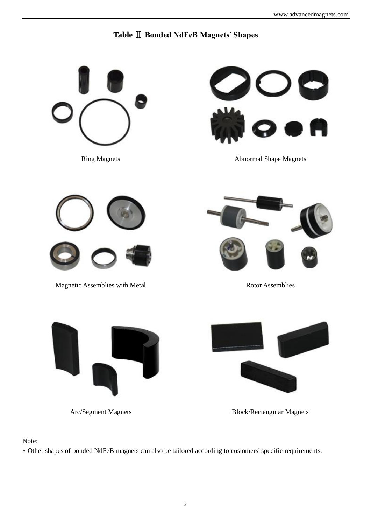## **Table** Ⅱ **Bonded NdFeB Magnets' Shapes**



Arc/Segment Magnets



Note:

∗ Other shapes of bonded NdFeB magnets can also be tailored according to customers' specific requirements.